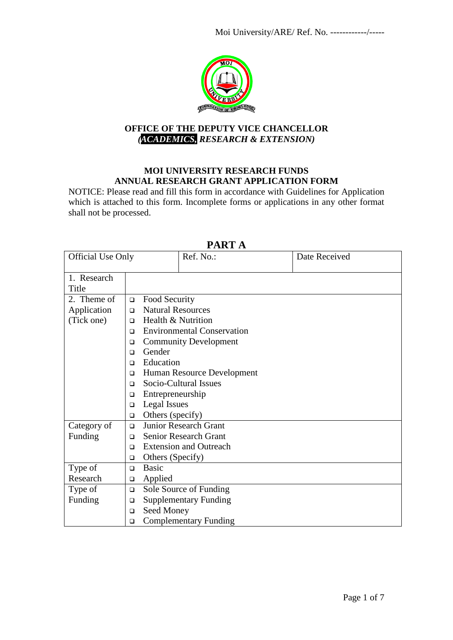

## **OFFICE OF THE DEPUTY VICE CHANCELLOR**  *(ACADEMICS, RESEARCH & EXTENSION)*

### **MOI UNIVERSITY RESEARCH FUNDS ANNUAL RESEARCH GRANT APPLICATION FORM**

NOTICE: Please read and fill this form in accordance with Guidelines for Application which is attached to this form. Incomplete forms or applications in any other format shall not be processed.

| <b>Official Use Only</b> |                                         | Ref. No.:                              |                                   | Date Received |  |  |  |  |
|--------------------------|-----------------------------------------|----------------------------------------|-----------------------------------|---------------|--|--|--|--|
| 1. Research              |                                         |                                        |                                   |               |  |  |  |  |
| Title                    |                                         |                                        |                                   |               |  |  |  |  |
| 2. Theme of              | $\Box$                                  | Food Security                          |                                   |               |  |  |  |  |
| Application              | $\Box$                                  | <b>Natural Resources</b>               |                                   |               |  |  |  |  |
| (Tick one)               | $\Box$                                  | Health & Nutrition                     |                                   |               |  |  |  |  |
|                          | $\Box$                                  |                                        | <b>Environmental Conservation</b> |               |  |  |  |  |
|                          | $\Box$                                  |                                        | <b>Community Development</b>      |               |  |  |  |  |
|                          | $\Box$                                  | Gender                                 |                                   |               |  |  |  |  |
|                          | Education<br>$\Box$                     |                                        |                                   |               |  |  |  |  |
|                          | Human Resource Development<br>$\Box$    |                                        |                                   |               |  |  |  |  |
|                          | $\Box$                                  | Socio-Cultural Issues                  |                                   |               |  |  |  |  |
|                          | $\Box$                                  | Entrepreneurship                       |                                   |               |  |  |  |  |
|                          | $\Box$                                  | Legal Issues                           |                                   |               |  |  |  |  |
|                          | Others (specify)<br>$\Box$              |                                        |                                   |               |  |  |  |  |
| Category of              |                                         | <b>Junior Research Grant</b><br>$\Box$ |                                   |               |  |  |  |  |
| Funding                  | $\Box$                                  | Senior Research Grant                  |                                   |               |  |  |  |  |
|                          | <b>Extension and Outreach</b><br>$\Box$ |                                        |                                   |               |  |  |  |  |
|                          | □                                       | Others (Specify)                       |                                   |               |  |  |  |  |
| Type of                  | <b>Basic</b><br>$\Box$                  |                                        |                                   |               |  |  |  |  |
| Research                 | Applied<br>□                            |                                        |                                   |               |  |  |  |  |
| Type of                  |                                         | Sole Source of Funding<br>$\Box$       |                                   |               |  |  |  |  |
| Funding                  | □                                       |                                        | <b>Supplementary Funding</b>      |               |  |  |  |  |
|                          | Seed Money<br>$\Box$                    |                                        |                                   |               |  |  |  |  |
|                          | <b>Complementary Funding</b><br>$\Box$  |                                        |                                   |               |  |  |  |  |

## **PART A**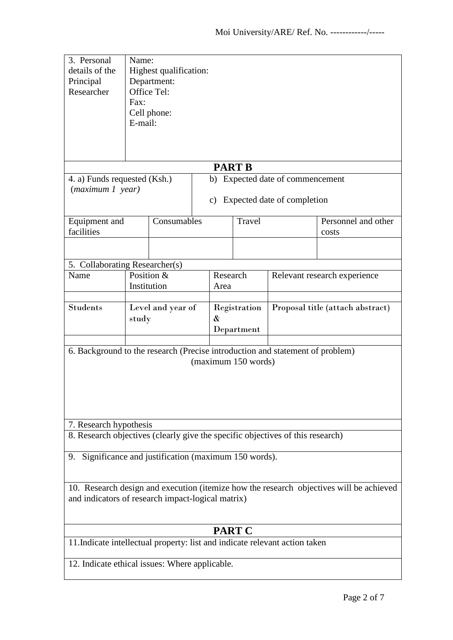| 3. Personal<br>details of the<br>Principal<br>Researcher                                                               | Name:<br>Highest qualification:<br>Department:<br>Office Tel:<br>Fax:<br>Cell phone:<br>E-mail: |             |  |                                 |               |                                  |                                                                                         |
|------------------------------------------------------------------------------------------------------------------------|-------------------------------------------------------------------------------------------------|-------------|--|---------------------------------|---------------|----------------------------------|-----------------------------------------------------------------------------------------|
|                                                                                                                        |                                                                                                 |             |  |                                 | <b>PART B</b> |                                  |                                                                                         |
| 4. a) Funds requested (Ksh.)<br>b) Expected date of commencement<br>(maximum 1 year)<br>c) Expected date of completion |                                                                                                 |             |  |                                 |               |                                  |                                                                                         |
| Equipment and<br>facilities                                                                                            |                                                                                                 | Consumables |  |                                 | <b>Travel</b> |                                  | Personnel and other<br>costs                                                            |
|                                                                                                                        |                                                                                                 |             |  |                                 |               |                                  |                                                                                         |
| Name                                                                                                                   | 5. Collaborating Researcher(s)<br>Position &<br>Institution                                     |             |  | Research<br>Area                |               | Relevant research experience     |                                                                                         |
| <b>Students</b>                                                                                                        | Level and year of<br>study                                                                      |             |  | Registration<br>&<br>Department |               | Proposal title (attach abstract) |                                                                                         |
| 6. Background to the research (Precise introduction and statement of problem)<br>(maximum 150 words)                   |                                                                                                 |             |  |                                 |               |                                  |                                                                                         |
| 7. Research hypothesis<br>8. Research objectives (clearly give the specific objectives of this research)               |                                                                                                 |             |  |                                 |               |                                  |                                                                                         |
| Significance and justification (maximum 150 words).<br>9.                                                              |                                                                                                 |             |  |                                 |               |                                  |                                                                                         |
| and indicators of research impact-logical matrix)                                                                      |                                                                                                 |             |  |                                 |               |                                  | 10. Research design and execution (itemize how the research objectives will be achieved |
| <b>PART C</b>                                                                                                          |                                                                                                 |             |  |                                 |               |                                  |                                                                                         |
| 11. Indicate intellectual property: list and indicate relevant action taken                                            |                                                                                                 |             |  |                                 |               |                                  |                                                                                         |
| 12. Indicate ethical issues: Where applicable.                                                                         |                                                                                                 |             |  |                                 |               |                                  |                                                                                         |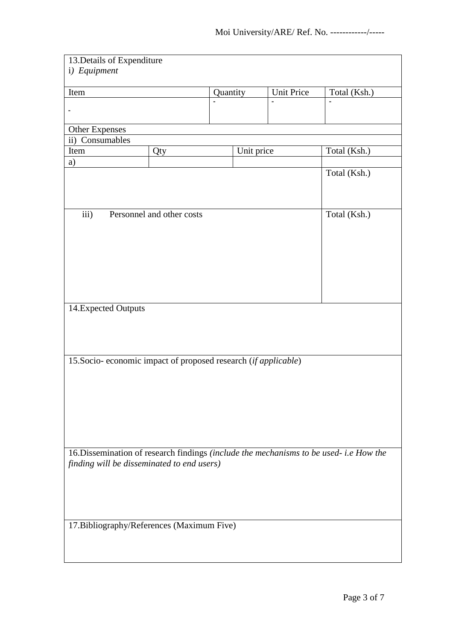| 13. Details of Expenditure                                                             |                           |          |            |                   |              |  |  |
|----------------------------------------------------------------------------------------|---------------------------|----------|------------|-------------------|--------------|--|--|
| i) Equipment                                                                           |                           |          |            |                   |              |  |  |
|                                                                                        |                           |          |            |                   |              |  |  |
| Item                                                                                   |                           | Quantity |            | <b>Unit Price</b> | Total (Ksh.) |  |  |
|                                                                                        |                           |          |            | ä,                |              |  |  |
| $\overline{a}$                                                                         |                           |          |            |                   |              |  |  |
| <b>Other Expenses</b>                                                                  |                           |          |            |                   |              |  |  |
| ii) Consumables                                                                        |                           |          |            |                   |              |  |  |
| Item                                                                                   | Qty                       |          | Unit price |                   | Total (Ksh.) |  |  |
| a)                                                                                     |                           |          |            |                   |              |  |  |
|                                                                                        |                           |          |            |                   | Total (Ksh.) |  |  |
|                                                                                        |                           |          |            |                   |              |  |  |
|                                                                                        |                           |          |            |                   |              |  |  |
|                                                                                        |                           |          |            |                   |              |  |  |
| iii)                                                                                   | Personnel and other costs |          |            |                   | Total (Ksh.) |  |  |
|                                                                                        |                           |          |            |                   |              |  |  |
|                                                                                        |                           |          |            |                   |              |  |  |
|                                                                                        |                           |          |            |                   |              |  |  |
|                                                                                        |                           |          |            |                   |              |  |  |
|                                                                                        |                           |          |            |                   |              |  |  |
|                                                                                        |                           |          |            |                   |              |  |  |
|                                                                                        |                           |          |            |                   |              |  |  |
| 14. Expected Outputs                                                                   |                           |          |            |                   |              |  |  |
|                                                                                        |                           |          |            |                   |              |  |  |
|                                                                                        |                           |          |            |                   |              |  |  |
|                                                                                        |                           |          |            |                   |              |  |  |
|                                                                                        |                           |          |            |                   |              |  |  |
| 15. Socio- economic impact of proposed research (if applicable)                        |                           |          |            |                   |              |  |  |
|                                                                                        |                           |          |            |                   |              |  |  |
|                                                                                        |                           |          |            |                   |              |  |  |
|                                                                                        |                           |          |            |                   |              |  |  |
|                                                                                        |                           |          |            |                   |              |  |  |
|                                                                                        |                           |          |            |                   |              |  |  |
|                                                                                        |                           |          |            |                   |              |  |  |
|                                                                                        |                           |          |            |                   |              |  |  |
| 16. Dissemination of research findings (include the mechanisms to be used- i.e How the |                           |          |            |                   |              |  |  |
| finding will be disseminated to end users)                                             |                           |          |            |                   |              |  |  |
|                                                                                        |                           |          |            |                   |              |  |  |
|                                                                                        |                           |          |            |                   |              |  |  |
|                                                                                        |                           |          |            |                   |              |  |  |
|                                                                                        |                           |          |            |                   |              |  |  |
| 17. Bibliography/References (Maximum Five)                                             |                           |          |            |                   |              |  |  |
|                                                                                        |                           |          |            |                   |              |  |  |
|                                                                                        |                           |          |            |                   |              |  |  |
|                                                                                        |                           |          |            |                   |              |  |  |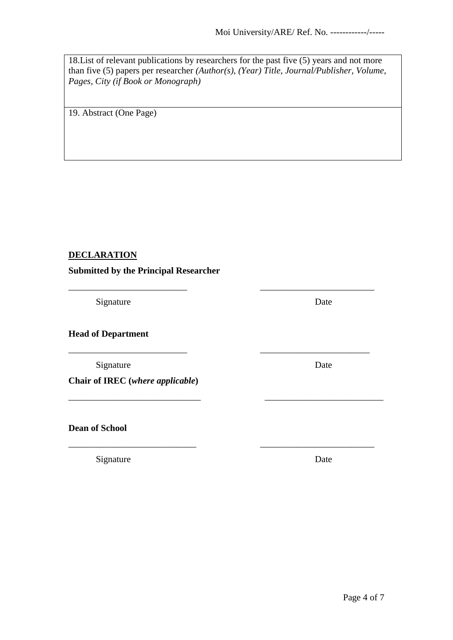18.List of relevant publications by researchers for the past five (5) years and not more than five (5) papers per researcher *(Author(s), (Year) Title, Journal/Publisher, Volume, Pages, City (if Book or Monograph)*

\_\_\_\_\_\_\_\_\_\_\_\_\_\_\_\_\_\_\_\_\_\_\_\_\_\_ \_\_\_\_\_\_\_\_\_\_\_\_\_\_\_\_\_\_\_\_\_\_\_\_\_

\_\_\_\_\_\_\_\_\_\_\_\_\_\_\_\_\_\_\_\_\_\_\_\_\_\_ \_\_\_\_\_\_\_\_\_\_\_\_\_\_\_\_\_\_\_\_\_\_\_\_

\_\_\_\_\_\_\_\_\_\_\_\_\_\_\_\_\_\_\_\_\_\_\_\_\_\_\_\_\_ \_\_\_\_\_\_\_\_\_\_\_\_\_\_\_\_\_\_\_\_\_\_\_\_\_\_

\_\_\_\_\_\_\_\_\_\_\_\_\_\_\_\_\_\_\_\_\_\_\_\_\_\_\_\_ \_\_\_\_\_\_\_\_\_\_\_\_\_\_\_\_\_\_\_\_\_\_\_\_\_

19. Abstract (One Page)

# **DECLARATION**

**Submitted by the Principal Researcher**

Signature Date

**Head of Department**

Signature Date

**Chair of IREC (***where applicable***)**

**Dean of School**

Signature Date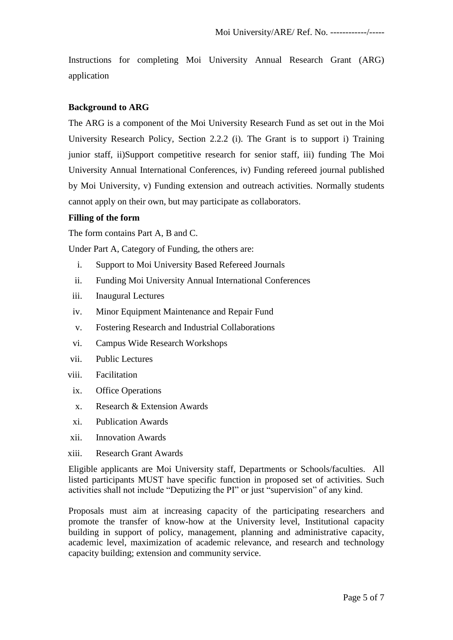Instructions for completing Moi University Annual Research Grant (ARG) application

### **Background to ARG**

The ARG is a component of the Moi University Research Fund as set out in the Moi University Research Policy, Section 2.2.2 (i). The Grant is to support i) Training junior staff, ii)Support competitive research for senior staff, iii) funding The Moi University Annual International Conferences, iv) Funding refereed journal published by Moi University, v) Funding extension and outreach activities. Normally students cannot apply on their own, but may participate as collaborators.

#### **Filling of the form**

The form contains Part A, B and C.

Under Part A, Category of Funding, the others are:

- i. Support to Moi University Based Refereed Journals
- ii. Funding Moi University Annual International Conferences
- iii. Inaugural Lectures
- iv. Minor Equipment Maintenance and Repair Fund
- v. Fostering Research and Industrial Collaborations
- vi. Campus Wide Research Workshops
- vii. Public Lectures
- viii. Facilitation
- ix. Office Operations
- x. Research & Extension Awards
- xi. Publication Awards
- xii. Innovation Awards
- xiii. Research Grant Awards

Eligible applicants are Moi University staff, Departments or Schools/faculties. All listed participants MUST have specific function in proposed set of activities. Such activities shall not include "Deputizing the PI" or just "supervision" of any kind.

Proposals must aim at increasing capacity of the participating researchers and promote the transfer of know-how at the University level, Institutional capacity building in support of policy, management, planning and administrative capacity, academic level, maximization of academic relevance, and research and technology capacity building; extension and community service.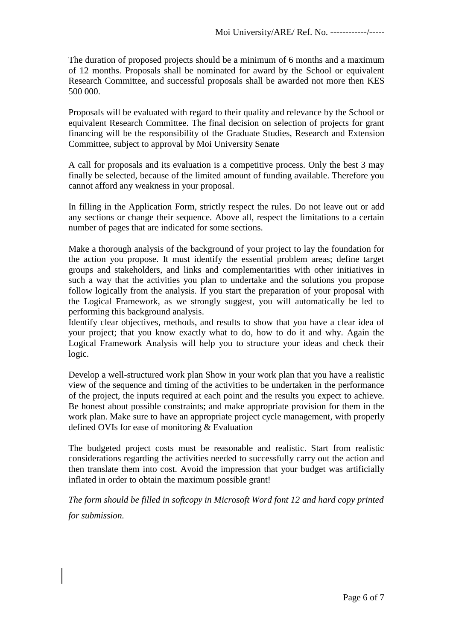The duration of proposed projects should be a minimum of 6 months and a maximum of 12 months. Proposals shall be nominated for award by the School or equivalent Research Committee, and successful proposals shall be awarded not more then KES 500 000.

Proposals will be evaluated with regard to their quality and relevance by the School or equivalent Research Committee. The final decision on selection of projects for grant financing will be the responsibility of the Graduate Studies, Research and Extension Committee, subject to approval by Moi University Senate

A call for proposals and its evaluation is a competitive process. Only the best 3 may finally be selected, because of the limited amount of funding available. Therefore you cannot afford any weakness in your proposal.

In filling in the Application Form, strictly respect the rules. Do not leave out or add any sections or change their sequence. Above all, respect the limitations to a certain number of pages that are indicated for some sections.

Make a thorough analysis of the background of your project to lay the foundation for the action you propose. It must identify the essential problem areas; define target groups and stakeholders, and links and complementarities with other initiatives in such a way that the activities you plan to undertake and the solutions you propose follow logically from the analysis. If you start the preparation of your proposal with the Logical Framework, as we strongly suggest, you will automatically be led to performing this background analysis.

Identify clear objectives, methods, and results to show that you have a clear idea of your project; that you know exactly what to do, how to do it and why. Again the Logical Framework Analysis will help you to structure your ideas and check their logic.

Develop a well-structured work plan Show in your work plan that you have a realistic view of the sequence and timing of the activities to be undertaken in the performance of the project, the inputs required at each point and the results you expect to achieve. Be honest about possible constraints; and make appropriate provision for them in the work plan. Make sure to have an appropriate project cycle management, with properly defined OVIs for ease of monitoring & Evaluation

The budgeted project costs must be reasonable and realistic. Start from realistic considerations regarding the activities needed to successfully carry out the action and then translate them into cost. Avoid the impression that your budget was artificially inflated in order to obtain the maximum possible grant!

*The form should be filled in softcopy in Microsoft Word font 12 and hard copy printed for submission.*